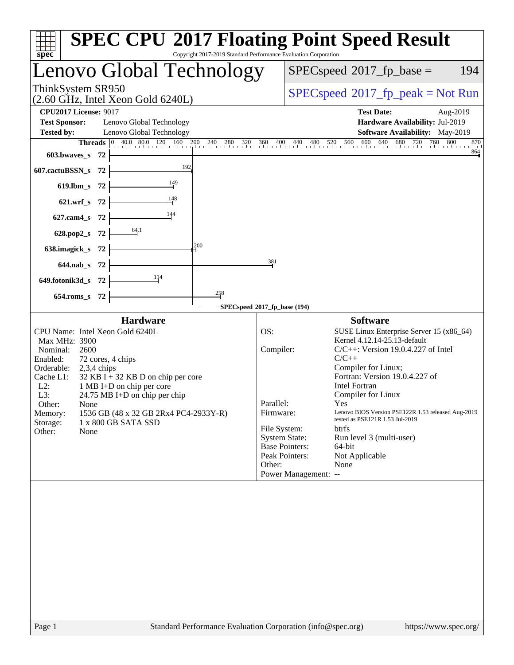| <b>SPEC CPU®2017 Floating Point Speed Result</b><br>Copyright 2017-2019 Standard Performance Evaluation Corporation<br>$s\overline{p}e\overline{c}$                                                                                                                                                                                                                                                                       |                                                                                                                                                                                                                                                                                                                                                                                                                                                                                                                                                                                                                                                                                                                                                                                                       |  |  |
|---------------------------------------------------------------------------------------------------------------------------------------------------------------------------------------------------------------------------------------------------------------------------------------------------------------------------------------------------------------------------------------------------------------------------|-------------------------------------------------------------------------------------------------------------------------------------------------------------------------------------------------------------------------------------------------------------------------------------------------------------------------------------------------------------------------------------------------------------------------------------------------------------------------------------------------------------------------------------------------------------------------------------------------------------------------------------------------------------------------------------------------------------------------------------------------------------------------------------------------------|--|--|
| Lenovo Global Technology                                                                                                                                                                                                                                                                                                                                                                                                  | $SPEC speed^{\circ}2017\_fp\_base =$<br>194                                                                                                                                                                                                                                                                                                                                                                                                                                                                                                                                                                                                                                                                                                                                                           |  |  |
| ThinkSystem SR950<br>$(2.60 \text{ GHz}, \text{Intel Xeon Gold } 6240L)$                                                                                                                                                                                                                                                                                                                                                  | $SPEC speed^{\circ}2017\_fp\_peak = Not Run$                                                                                                                                                                                                                                                                                                                                                                                                                                                                                                                                                                                                                                                                                                                                                          |  |  |
| <b>CPU2017 License: 9017</b><br><b>Test Sponsor:</b><br>Lenovo Global Technology<br>Lenovo Global Technology<br><b>Tested by:</b>                                                                                                                                                                                                                                                                                         | <b>Test Date:</b><br>Aug-2019<br>Hardware Availability: Jul-2019<br>Software Availability: May-2019                                                                                                                                                                                                                                                                                                                                                                                                                                                                                                                                                                                                                                                                                                   |  |  |
| <b>Threads</b> 0 40.0 80.0 120 160 200 240 280 320 360 400 440 480 520 560 600 640 680 720 760 800<br>603.bwaves_s 72                                                                                                                                                                                                                                                                                                     | 870<br>864                                                                                                                                                                                                                                                                                                                                                                                                                                                                                                                                                                                                                                                                                                                                                                                            |  |  |
| 607.cactuBSSN_s 72                                                                                                                                                                                                                                                                                                                                                                                                        |                                                                                                                                                                                                                                                                                                                                                                                                                                                                                                                                                                                                                                                                                                                                                                                                       |  |  |
| $\overline{\phantom{1}}$ 149<br>619.1bm_s $72$ $\vdash$<br>621.wrf_s $72$ $\left\vert -\right\rangle$                                                                                                                                                                                                                                                                                                                     |                                                                                                                                                                                                                                                                                                                                                                                                                                                                                                                                                                                                                                                                                                                                                                                                       |  |  |
| 627.cam4_s 72 $\vert$                                                                                                                                                                                                                                                                                                                                                                                                     |                                                                                                                                                                                                                                                                                                                                                                                                                                                                                                                                                                                                                                                                                                                                                                                                       |  |  |
| 628.pop2_s 72 $\frac{64.1}{ }$<br>200<br>638.imagick_s $72$ –                                                                                                                                                                                                                                                                                                                                                             |                                                                                                                                                                                                                                                                                                                                                                                                                                                                                                                                                                                                                                                                                                                                                                                                       |  |  |
| 381<br>$644.nab_s$ 72 $\_\_\_\_\_\$<br>649.fotonik3d_s $72$ $\frac{11}{4}$                                                                                                                                                                                                                                                                                                                                                |                                                                                                                                                                                                                                                                                                                                                                                                                                                                                                                                                                                                                                                                                                                                                                                                       |  |  |
| 258<br>654.roms_s 72<br>SPECspeed®2017_fp_base (194)                                                                                                                                                                                                                                                                                                                                                                      |                                                                                                                                                                                                                                                                                                                                                                                                                                                                                                                                                                                                                                                                                                                                                                                                       |  |  |
| <b>Hardware</b>                                                                                                                                                                                                                                                                                                                                                                                                           | <b>Software</b>                                                                                                                                                                                                                                                                                                                                                                                                                                                                                                                                                                                                                                                                                                                                                                                       |  |  |
| OS:<br>CPU Name: Intel Xeon Gold 6240L<br>Max MHz: 3900<br>Nominal:<br>2600<br>Enabled:<br>72 cores, 4 chips<br>Orderable: 2,3,4 chips<br>Cache L1:<br>$32$ KB I + 32 KB D on chip per core<br>$L2$ :<br>1 MB I+D on chip per core<br>L3:<br>$24.75 \text{ MB I+D}$ on chip per chip<br>Other:<br>None<br>1536 GB (48 x 32 GB 2Rx4 PC4-2933Y-R)<br>Memory:<br>Storage:<br>1 x 800 GB SATA SSD<br>Other:<br>None<br>Other: | SUSE Linux Enterprise Server 15 (x86_64)<br>Kernel 4.12.14-25.13-default<br>Compiler:<br>$C/C++$ : Version 19.0.4.227 of Intel<br>$C/C++$<br>Compiler for Linux;<br>Fortran: Version 19.0.4.227 of<br><b>Intel Fortran</b><br>Compiler for Linux<br>Parallel:<br><b>Yes</b> and the set of the set of the set of the set of the set of the set of the set of the set of the set of the set of the set of the set of the set of the set of the set of the set of the set of the set of the set of the<br>Lenovo BIOS Version PSE122R 1.53 released Aug-2019<br>Firmware:<br>tested as PSE121R 1.53 Jul-2019<br>File System:<br><b>btrfs</b><br><b>System State:</b><br>Run level 3 (multi-user)<br><b>Base Pointers:</b><br>64-bit<br>Peak Pointers:<br>Not Applicable<br>None<br>Power Management: -- |  |  |
| Page 1<br>Standard Performance Evaluation Corporation (info@spec.org)                                                                                                                                                                                                                                                                                                                                                     | https://www.spec.org/                                                                                                                                                                                                                                                                                                                                                                                                                                                                                                                                                                                                                                                                                                                                                                                 |  |  |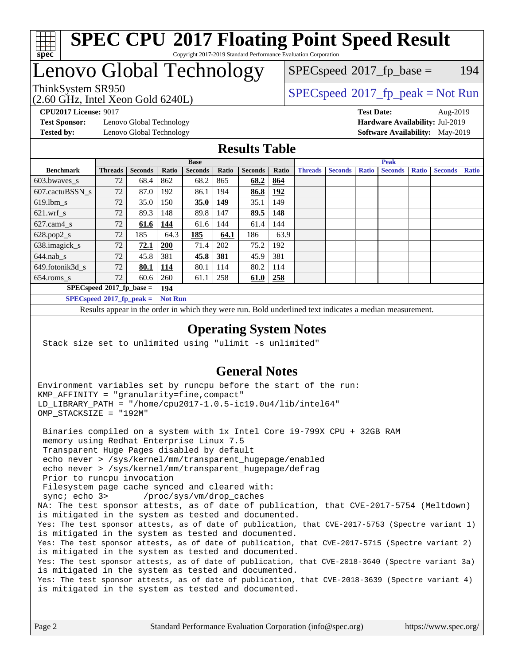

#### **[SPEC CPU](http://www.spec.org/auto/cpu2017/Docs/result-fields.html#SPECCPU2017FloatingPointSpeedResult)[2017 Floating Point Speed Result](http://www.spec.org/auto/cpu2017/Docs/result-fields.html#SPECCPU2017FloatingPointSpeedResult)** Copyright 2017-2019 Standard Performance Evaluation Corporation

## Lenovo Global Technology

(2.60 GHz, Intel Xeon Gold 6240L)

ThinkSystem SR950<br>  $SPECspeed*2017_fp\_peak = Not Run$  $SPECspeed*2017_fp\_peak = Not Run$  $SPEC speed^{\circ}2017\_fp\_base = 194$ 

**[Test Sponsor:](http://www.spec.org/auto/cpu2017/Docs/result-fields.html#TestSponsor)** Lenovo Global Technology **[Hardware Availability:](http://www.spec.org/auto/cpu2017/Docs/result-fields.html#HardwareAvailability)** Jul-2019 **[Tested by:](http://www.spec.org/auto/cpu2017/Docs/result-fields.html#Testedby)** Lenovo Global Technology **[Software Availability:](http://www.spec.org/auto/cpu2017/Docs/result-fields.html#SoftwareAvailability)** May-2019

**[CPU2017 License:](http://www.spec.org/auto/cpu2017/Docs/result-fields.html#CPU2017License)** 9017 **[Test Date:](http://www.spec.org/auto/cpu2017/Docs/result-fields.html#TestDate)** Aug-2019

#### **[Results Table](http://www.spec.org/auto/cpu2017/Docs/result-fields.html#ResultsTable)**

|                             | <b>Base</b>                 |                |                |                |            | <b>Peak</b>    |       |                |                |              |                |              |                |              |
|-----------------------------|-----------------------------|----------------|----------------|----------------|------------|----------------|-------|----------------|----------------|--------------|----------------|--------------|----------------|--------------|
| <b>Benchmark</b>            | <b>Threads</b>              | <b>Seconds</b> | Ratio          | <b>Seconds</b> | Ratio      | <b>Seconds</b> | Ratio | <b>Threads</b> | <b>Seconds</b> | <b>Ratio</b> | <b>Seconds</b> | <b>Ratio</b> | <b>Seconds</b> | <b>Ratio</b> |
| 603.bwayes s                | 72                          | 68.4           | 862            | 68.2           | 865        | 68.2           | 864   |                |                |              |                |              |                |              |
| 607.cactuBSSN s             | 72                          | 87.0           | 192            | 86.1           | 194        | 86.8           | 192   |                |                |              |                |              |                |              |
| $619.$ lbm_s                | 72                          | 35.0           | 150            | 35.0           | 149        | 35.1           | 149   |                |                |              |                |              |                |              |
| $621.wrf$ s                 | 72                          | 89.3           | 148            | 89.8           | 147        | 89.5           | 148   |                |                |              |                |              |                |              |
| $627$ .cam $4$ <sub>s</sub> | 72                          | 61.6           | 144            | 61.6           | 144        | 61.4           | 144   |                |                |              |                |              |                |              |
| $628.pop2_s$                | 72                          | 185            | 64.3           | 185            | 64.1       | 186            | 63.9  |                |                |              |                |              |                |              |
| 638.imagick_s               | 72                          | 72.1           | <b>200</b>     | 71.4           | 202        | 75.2           | 192   |                |                |              |                |              |                |              |
| $644$ .nab s                | 72                          | 45.8           | 381            | 45.8           | <u>381</u> | 45.9           | 381   |                |                |              |                |              |                |              |
| 649.fotonik3d_s             | 72                          | 80.1           | <u>114</u>     | 80.1           | 114        | 80.2           | 114   |                |                |              |                |              |                |              |
| $654$ .roms s               | 72                          | 60.6           | 260            | 61.1           | 258        | 61.0           | 258   |                |                |              |                |              |                |              |
|                             | $SPECspeed*2017_fp\_base =$ |                | 194            |                |            |                |       |                |                |              |                |              |                |              |
| $SPECspeed*2017_fp\_peak =$ |                             |                | <b>Not Run</b> |                |            |                |       |                |                |              |                |              |                |              |

Results appear in the [order in which they were run.](http://www.spec.org/auto/cpu2017/Docs/result-fields.html#RunOrder) Bold underlined text [indicates a median measurement](http://www.spec.org/auto/cpu2017/Docs/result-fields.html#Median).

#### **[Operating System Notes](http://www.spec.org/auto/cpu2017/Docs/result-fields.html#OperatingSystemNotes)**

Stack size set to unlimited using "ulimit -s unlimited"

### **[General Notes](http://www.spec.org/auto/cpu2017/Docs/result-fields.html#GeneralNotes)**

Environment variables set by runcpu before the start of the run: KMP\_AFFINITY = "granularity=fine,compact" LD\_LIBRARY\_PATH = "/home/cpu2017-1.0.5-ic19.0u4/lib/intel64" OMP\_STACKSIZE = "192M" Binaries compiled on a system with 1x Intel Core i9-799X CPU + 32GB RAM memory using Redhat Enterprise Linux 7.5 Transparent Huge Pages disabled by default echo never > /sys/kernel/mm/transparent\_hugepage/enabled echo never > /sys/kernel/mm/transparent\_hugepage/defrag Prior to runcpu invocation Filesystem page cache synced and cleared with: sync; echo 3> /proc/sys/vm/drop\_caches NA: The test sponsor attests, as of date of publication, that CVE-2017-5754 (Meltdown) is mitigated in the system as tested and documented. Yes: The test sponsor attests, as of date of publication, that CVE-2017-5753 (Spectre variant 1) is mitigated in the system as tested and documented. Yes: The test sponsor attests, as of date of publication, that CVE-2017-5715 (Spectre variant 2) is mitigated in the system as tested and documented. Yes: The test sponsor attests, as of date of publication, that CVE-2018-3640 (Spectre variant 3a) is mitigated in the system as tested and documented. Yes: The test sponsor attests, as of date of publication, that CVE-2018-3639 (Spectre variant 4) is mitigated in the system as tested and documented.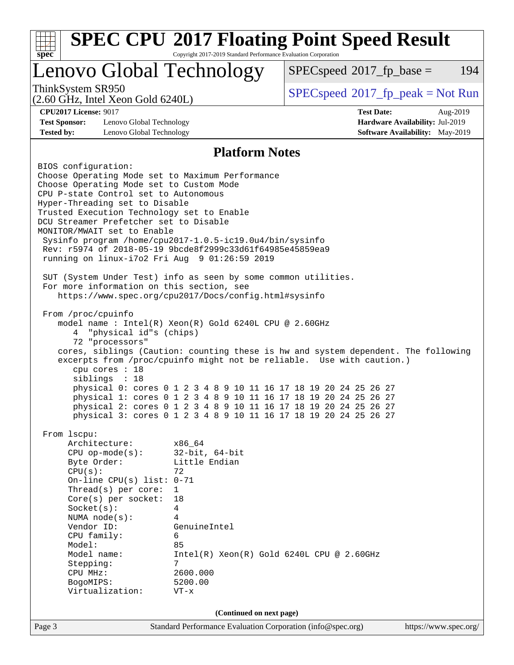| <b>SPEC CPU®2017 Floating Point Speed Result</b><br>$\overline{\text{spec}^*}$<br>Copyright 2017-2019 Standard Performance Evaluation Corporation |                                                                                                                                                                                                                                                                                                                                                                      |                                                                                                                                                                                                                                                                                                                                                                                                                                                                                                                                                                     |                                                                                                                                                                                                                                                                                                                                                                                                                                             |                                                                                       |  |
|---------------------------------------------------------------------------------------------------------------------------------------------------|----------------------------------------------------------------------------------------------------------------------------------------------------------------------------------------------------------------------------------------------------------------------------------------------------------------------------------------------------------------------|---------------------------------------------------------------------------------------------------------------------------------------------------------------------------------------------------------------------------------------------------------------------------------------------------------------------------------------------------------------------------------------------------------------------------------------------------------------------------------------------------------------------------------------------------------------------|---------------------------------------------------------------------------------------------------------------------------------------------------------------------------------------------------------------------------------------------------------------------------------------------------------------------------------------------------------------------------------------------------------------------------------------------|---------------------------------------------------------------------------------------|--|
|                                                                                                                                                   |                                                                                                                                                                                                                                                                                                                                                                      | Lenovo Global Technology                                                                                                                                                                                                                                                                                                                                                                                                                                                                                                                                            | $SPEC speed^{\circ}2017$ _fp_base =<br>194                                                                                                                                                                                                                                                                                                                                                                                                  |                                                                                       |  |
| ThinkSystem SR950                                                                                                                                 | $(2.60 \text{ GHz}, \text{Intel Xeon Gold } 6240L)$                                                                                                                                                                                                                                                                                                                  |                                                                                                                                                                                                                                                                                                                                                                                                                                                                                                                                                                     | $SPEC speed^{\circ}2017\_fp\_peak = Not Run$                                                                                                                                                                                                                                                                                                                                                                                                |                                                                                       |  |
| <b>CPU2017 License: 9017</b><br><b>Test Sponsor:</b><br><b>Tested by:</b>                                                                         | Lenovo Global Technology<br>Lenovo Global Technology                                                                                                                                                                                                                                                                                                                 |                                                                                                                                                                                                                                                                                                                                                                                                                                                                                                                                                                     | <b>Test Date:</b>                                                                                                                                                                                                                                                                                                                                                                                                                           | Aug-2019<br>Hardware Availability: Jul-2019<br><b>Software Availability:</b> May-2019 |  |
|                                                                                                                                                   |                                                                                                                                                                                                                                                                                                                                                                      | <b>Platform Notes</b>                                                                                                                                                                                                                                                                                                                                                                                                                                                                                                                                               |                                                                                                                                                                                                                                                                                                                                                                                                                                             |                                                                                       |  |
| BIOS configuration:<br>From /proc/cpuinfo<br>4<br>From 1scpu:<br>CPU(s):                                                                          | Choose Operating Mode set to Custom Mode<br>CPU P-state Control set to Autonomous<br>Hyper-Threading set to Disable<br>DCU Streamer Prefetcher set to Disable<br>MONITOR/MWAIT set to Enable<br>"physical id"s (chips)<br>72 "processors"<br>cpu cores : 18<br>siblings : 18<br>Architecture:<br>$CPU$ op-mode( $s$ ):<br>Byte Order:<br>On-line CPU(s) list: $0-71$ | Choose Operating Mode set to Maximum Performance<br>Trusted Execution Technology set to Enable<br>Sysinfo program /home/cpu2017-1.0.5-ic19.0u4/bin/sysinfo<br>Rev: r5974 of 2018-05-19 9bcde8f2999c33d61f64985e45859ea9<br>running on linux-i7o2 Fri Aug 9 01:26:59 2019<br>SUT (System Under Test) info as seen by some common utilities.<br>For more information on this section, see<br>https://www.spec.org/cpu2017/Docs/config.html#sysinfo<br>model name : Intel(R) Xeon(R) Gold 6240L CPU @ 2.60GHz<br>x86 64<br>$32$ -bit, $64$ -bit<br>Little Endian<br>72 | cores, siblings (Caution: counting these is hw and system dependent. The following<br>excerpts from /proc/cpuinfo might not be reliable. Use with caution.)<br>physical 0: cores 0 1 2 3 4 8 9 10 11 16 17 18 19 20 24 25 26 27<br>physical 1: cores 0 1 2 3 4 8 9 10 11 16 17 18 19 20 24 25 26 27<br>physical 2: cores 0 1 2 3 4 8 9 10 11 16 17 18 19 20 24 25 26 27<br>physical 3: cores 0 1 2 3 4 8 9 10 11 16 17 18 19 20 24 25 26 27 |                                                                                       |  |
| Socket(s):                                                                                                                                        | Thread( $s$ ) per core:<br>Core(s) per socket:<br>NUMA node(s):                                                                                                                                                                                                                                                                                                      | $\mathbf{1}$<br>18<br>$\overline{4}$<br>4                                                                                                                                                                                                                                                                                                                                                                                                                                                                                                                           |                                                                                                                                                                                                                                                                                                                                                                                                                                             |                                                                                       |  |
| Vendor ID:<br>Model:<br>Stepping:<br>CPU MHz:<br>BogoMIPS:                                                                                        | CPU family:<br>Model name:<br>Virtualization:                                                                                                                                                                                                                                                                                                                        | GenuineIntel<br>6<br>85<br>7<br>2600.000<br>5200.00<br>$VT - x$                                                                                                                                                                                                                                                                                                                                                                                                                                                                                                     | $Intel(R) Xeon(R) Gold 6240L CPU @ 2.60GHz$                                                                                                                                                                                                                                                                                                                                                                                                 |                                                                                       |  |
|                                                                                                                                                   |                                                                                                                                                                                                                                                                                                                                                                      | (Continued on next page)                                                                                                                                                                                                                                                                                                                                                                                                                                                                                                                                            |                                                                                                                                                                                                                                                                                                                                                                                                                                             |                                                                                       |  |
| Page 3                                                                                                                                            |                                                                                                                                                                                                                                                                                                                                                                      | Standard Performance Evaluation Corporation (info@spec.org)                                                                                                                                                                                                                                                                                                                                                                                                                                                                                                         |                                                                                                                                                                                                                                                                                                                                                                                                                                             | https://www.spec.org/                                                                 |  |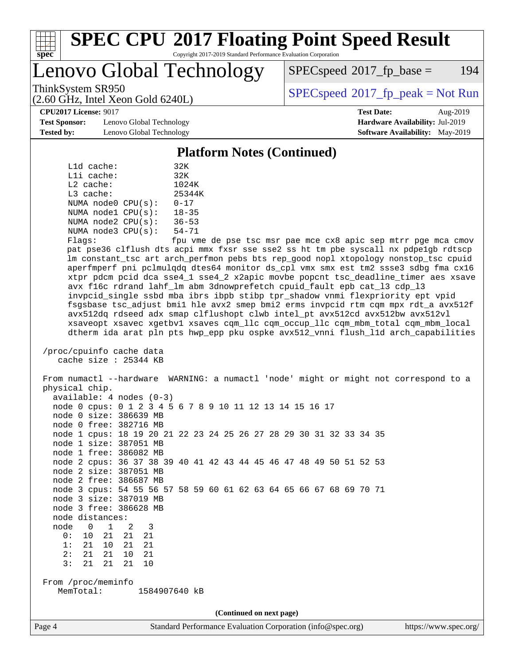

# **[SPEC CPU](http://www.spec.org/auto/cpu2017/Docs/result-fields.html#SPECCPU2017FloatingPointSpeedResult)[2017 Floating Point Speed Result](http://www.spec.org/auto/cpu2017/Docs/result-fields.html#SPECCPU2017FloatingPointSpeedResult)**

Copyright 2017-2019 Standard Performance Evaluation Corporation

Lenovo Global Technology

 $SPEC speed^{\circ}2017$  fp base = 194

(2.60 GHz, Intel Xeon Gold 6240L)

ThinkSystem SR950<br>  $SPECspeed*2017_fp\_peak = Not Run$  $SPECspeed*2017_fp\_peak = Not Run$ 

**[CPU2017 License:](http://www.spec.org/auto/cpu2017/Docs/result-fields.html#CPU2017License)** 9017 **[Test Date:](http://www.spec.org/auto/cpu2017/Docs/result-fields.html#TestDate)** Aug-2019

**[Test Sponsor:](http://www.spec.org/auto/cpu2017/Docs/result-fields.html#TestSponsor)** Lenovo Global Technology **[Hardware Availability:](http://www.spec.org/auto/cpu2017/Docs/result-fields.html#HardwareAvailability)** Jul-2019 **[Tested by:](http://www.spec.org/auto/cpu2017/Docs/result-fields.html#Testedby)** Lenovo Global Technology **[Software Availability:](http://www.spec.org/auto/cpu2017/Docs/result-fields.html#SoftwareAvailability)** May-2019

**[Platform Notes \(Continued\)](http://www.spec.org/auto/cpu2017/Docs/result-fields.html#PlatformNotes)**

|             | $L1d$ cache: |                         | 32K           |
|-------------|--------------|-------------------------|---------------|
|             | $L1i$ cache: |                         | 32K           |
| $L2$ cache: |              |                         | 1024K         |
| $L3$ cache: |              |                         | 25344K        |
|             |              | NUMA $node0$ $CPU(s)$ : | $0 - 17$      |
|             |              | NUMA $node1$ $CPU(s)$ : | $18 - 35$     |
|             |              | NUMA node2 CPU(s):      | $36 - 53$     |
|             |              | NUMA node3 CPU(s):      | $54 - 71$     |
|             |              |                         | $\sim$ $\sim$ |

Flags: fpu vme de pse tsc msr pae mce cx8 apic sep mtrr pge mca cmov pat pse36 clflush dts acpi mmx fxsr sse sse2 ss ht tm pbe syscall nx pdpe1gb rdtscp lm constant\_tsc art arch\_perfmon pebs bts rep\_good nopl xtopology nonstop\_tsc cpuid aperfmperf pni pclmulqdq dtes64 monitor ds\_cpl vmx smx est tm2 ssse3 sdbg fma cx16 xtpr pdcm pcid dca sse4\_1 sse4\_2 x2apic movbe popcnt tsc\_deadline\_timer aes xsave avx f16c rdrand lahf\_lm abm 3dnowprefetch cpuid\_fault epb cat\_l3 cdp\_l3 invpcid\_single ssbd mba ibrs ibpb stibp tpr\_shadow vnmi flexpriority ept vpid fsgsbase tsc\_adjust bmi1 hle avx2 smep bmi2 erms invpcid rtm cqm mpx rdt\_a avx512f avx512dq rdseed adx smap clflushopt clwb intel\_pt avx512cd avx512bw avx512vl xsaveopt xsavec xgetbv1 xsaves cqm\_llc cqm\_occup\_llc cqm\_mbm\_total cqm\_mbm\_local dtherm ida arat pln pts hwp\_epp pku ospke avx512\_vnni flush\_l1d arch\_capabilities

```
 /proc/cpuinfo cache data
cache size : 25344 KB
```
 From numactl --hardware WARNING: a numactl 'node' might or might not correspond to a physical chip. available: 4 nodes (0-3) node 0 cpus: 0 1 2 3 4 5 6 7 8 9 10 11 12 13 14 15 16 17 node 0 size: 386639 MB node 0 free: 382716 MB node 1 cpus: 18 19 20 21 22 23 24 25 26 27 28 29 30 31 32 33 34 35 node 1 size: 387051 MB node 1 free: 386082 MB node 2 cpus: 36 37 38 39 40 41 42 43 44 45 46 47 48 49 50 51 52 53 node 2 size: 387051 MB node 2 free: 386687 MB node 3 cpus: 54 55 56 57 58 59 60 61 62 63 64 65 66 67 68 69 70 71 node 3 size: 387019 MB node 3 free: 386628 MB node distances: node 0 1 2 3 0: 10 21 21 21 1: 21 10 21 21 2: 21 21 10 21 3: 21 21 21 10 From /proc/meminfo MemTotal: 1584907640 kB **(Continued on next page)**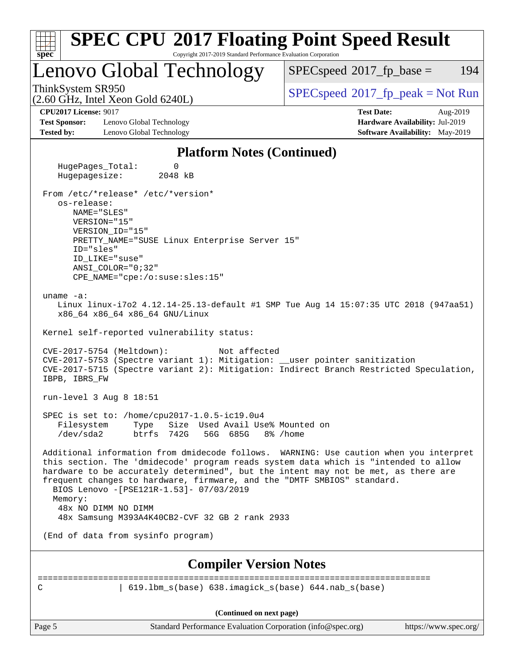| <b>SPEC CPU®2017 Floating Point Speed Result</b><br>Copyright 2017-2019 Standard Performance Evaluation Corporation<br>$spec^*$                                                                                                                                                                                                                                                                                             |                                                                                                     |
|-----------------------------------------------------------------------------------------------------------------------------------------------------------------------------------------------------------------------------------------------------------------------------------------------------------------------------------------------------------------------------------------------------------------------------|-----------------------------------------------------------------------------------------------------|
| Lenovo Global Technology                                                                                                                                                                                                                                                                                                                                                                                                    | 194<br>$SPEC speed^{\circ}2017\_fp\_base =$                                                         |
| ThinkSystem SR950<br>(2.60 GHz, Intel Xeon Gold 6240L)                                                                                                                                                                                                                                                                                                                                                                      | $SPEC speed^{\circ}2017\_fp\_peak = Not Run$                                                        |
| <b>CPU2017 License: 9017</b><br><b>Test Sponsor:</b><br>Lenovo Global Technology<br><b>Tested by:</b><br>Lenovo Global Technology                                                                                                                                                                                                                                                                                           | <b>Test Date:</b><br>Aug-2019<br>Hardware Availability: Jul-2019<br>Software Availability: May-2019 |
| <b>Platform Notes (Continued)</b>                                                                                                                                                                                                                                                                                                                                                                                           |                                                                                                     |
| HugePages_Total:<br>0<br>Hugepagesize:<br>2048 kB                                                                                                                                                                                                                                                                                                                                                                           |                                                                                                     |
| From /etc/*release* /etc/*version*<br>os-release:<br>NAME="SLES"<br>VERSION="15"<br>VERSION ID="15"<br>PRETTY_NAME="SUSE Linux Enterprise Server 15"<br>ID="sles"<br>ID LIKE="suse"<br>$ANSI\_COLOR = "0; 32"$<br>$CPE\_NAME='cpe://o:suse: sles:15"$                                                                                                                                                                       |                                                                                                     |
| uname $-a$ :<br>Linux linux-i7o2 4.12.14-25.13-default #1 SMP Tue Aug 14 15:07:35 UTC 2018 (947aa51)<br>x86_64 x86_64 x86_64 GNU/Linux<br>Kernel self-reported vulnerability status:                                                                                                                                                                                                                                        |                                                                                                     |
| CVE-2017-5754 (Meltdown):<br>Not affected<br>CVE-2017-5753 (Spectre variant 1): Mitigation: __user pointer sanitization<br>CVE-2017-5715 (Spectre variant 2): Mitigation: Indirect Branch Restricted Speculation,<br>IBPB, IBRS_FW                                                                                                                                                                                          |                                                                                                     |
| run-level 3 Aug 8 18:51                                                                                                                                                                                                                                                                                                                                                                                                     |                                                                                                     |
| SPEC is set to: /home/cpu2017-1.0.5-ic19.0u4<br>Size Used Avail Use% Mounted on<br>Filesystem<br>Type<br>56G 685G<br>$/\text{dev/sda2}$<br>btrfs<br>742G                                                                                                                                                                                                                                                                    | 8% /home                                                                                            |
| Additional information from dmidecode follows. WARNING: Use caution when you interpret<br>this section. The 'dmidecode' program reads system data which is "intended to allow<br>hardware to be accurately determined", but the intent may not be met, as there are<br>frequent changes to hardware, firmware, and the "DMTF SMBIOS" standard.<br>BIOS Lenovo -[PSE121R-1.53]- 07/03/2019<br>Memory:<br>48x NO DIMM NO DIMM |                                                                                                     |
| 48x Samsung M393A4K40CB2-CVF 32 GB 2 rank 2933                                                                                                                                                                                                                                                                                                                                                                              |                                                                                                     |
| (End of data from sysinfo program)                                                                                                                                                                                                                                                                                                                                                                                          |                                                                                                     |
| <b>Compiler Version Notes</b>                                                                                                                                                                                                                                                                                                                                                                                               |                                                                                                     |
| $619.1 \text{bm}\_\text{s}(\text{base})$ $638.imagick\_s(\text{base})$ $644.nab\_s(\text{base})$<br>C                                                                                                                                                                                                                                                                                                                       |                                                                                                     |
| (Continued on next page)                                                                                                                                                                                                                                                                                                                                                                                                    |                                                                                                     |
| Standard Performance Evaluation Corporation (info@spec.org)<br>Page 5                                                                                                                                                                                                                                                                                                                                                       | https://www.spec.org/                                                                               |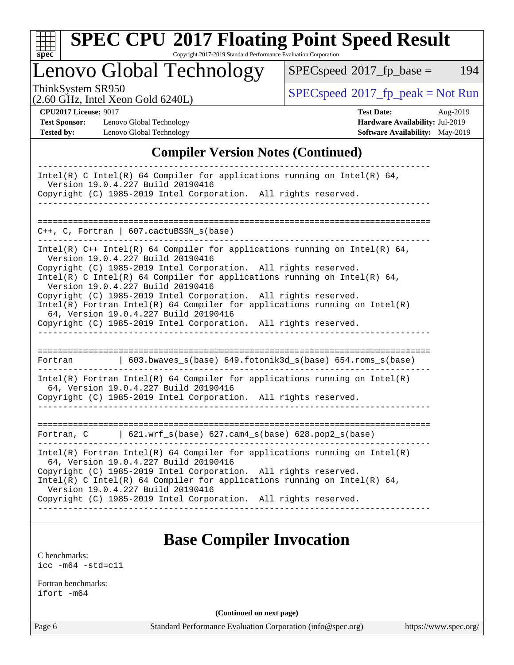

# **[SPEC CPU](http://www.spec.org/auto/cpu2017/Docs/result-fields.html#SPECCPU2017FloatingPointSpeedResult)[2017 Floating Point Speed Result](http://www.spec.org/auto/cpu2017/Docs/result-fields.html#SPECCPU2017FloatingPointSpeedResult)**

Copyright 2017-2019 Standard Performance Evaluation Corporation

Lenovo Global Technology

 $SPECspeed^{\circ}2017_fp\_base = 194$  $SPECspeed^{\circ}2017_fp\_base = 194$ 

(2.60 GHz, Intel Xeon Gold 6240L)

 $SPECspeed^{\circ}2017_fp\_peak = Not Run$  $SPECspeed^{\circ}2017_fp\_peak = Not Run$ 

**[Test Sponsor:](http://www.spec.org/auto/cpu2017/Docs/result-fields.html#TestSponsor)** Lenovo Global Technology **[Hardware Availability:](http://www.spec.org/auto/cpu2017/Docs/result-fields.html#HardwareAvailability)** Jul-2019 **[Tested by:](http://www.spec.org/auto/cpu2017/Docs/result-fields.html#Testedby)** Lenovo Global Technology **[Software Availability:](http://www.spec.org/auto/cpu2017/Docs/result-fields.html#SoftwareAvailability)** May-2019

**[CPU2017 License:](http://www.spec.org/auto/cpu2017/Docs/result-fields.html#CPU2017License)** 9017 **[Test Date:](http://www.spec.org/auto/cpu2017/Docs/result-fields.html#TestDate)** Aug-2019

### **[Compiler Version Notes \(Continued\)](http://www.spec.org/auto/cpu2017/Docs/result-fields.html#CompilerVersionNotes)**

| Intel(R) C Intel(R) 64 Compiler for applications running on Intel(R) 64,<br>Version 19.0.4.227 Build 20190416<br>Copyright (C) 1985-2019 Intel Corporation. All rights reserved.                                                                                                                                                                                                                                                                                                                                                                                     |  |  |  |  |  |
|----------------------------------------------------------------------------------------------------------------------------------------------------------------------------------------------------------------------------------------------------------------------------------------------------------------------------------------------------------------------------------------------------------------------------------------------------------------------------------------------------------------------------------------------------------------------|--|--|--|--|--|
|                                                                                                                                                                                                                                                                                                                                                                                                                                                                                                                                                                      |  |  |  |  |  |
|                                                                                                                                                                                                                                                                                                                                                                                                                                                                                                                                                                      |  |  |  |  |  |
| C++, C, Fortran   607.cactuBSSN_s(base)                                                                                                                                                                                                                                                                                                                                                                                                                                                                                                                              |  |  |  |  |  |
| Intel(R) $C++$ Intel(R) 64 Compiler for applications running on Intel(R) 64,<br>Version 19.0.4.227 Build 20190416<br>Copyright (C) 1985-2019 Intel Corporation. All rights reserved.<br>Intel(R) C Intel(R) 64 Compiler for applications running on Intel(R) 64,<br>Version 19.0.4.227 Build 20190416<br>Copyright (C) 1985-2019 Intel Corporation. All rights reserved.<br>Intel(R) Fortran Intel(R) 64 Compiler for applications running on $Intel(R)$<br>64, Version 19.0.4.227 Build 20190416<br>Copyright (C) 1985-2019 Intel Corporation. All rights reserved. |  |  |  |  |  |
| 603.bwaves_s(base) 649.fotonik3d_s(base) 654.roms_s(base)<br>Fortran                                                                                                                                                                                                                                                                                                                                                                                                                                                                                                 |  |  |  |  |  |
| $Intel(R)$ Fortran Intel(R) 64 Compiler for applications running on Intel(R)<br>64, Version 19.0.4.227 Build 20190416<br>Copyright (C) 1985-2019 Intel Corporation. All rights reserved.                                                                                                                                                                                                                                                                                                                                                                             |  |  |  |  |  |
| Fortran, $C$   621.wrf_s(base) 627.cam4_s(base) 628.pop2_s(base)                                                                                                                                                                                                                                                                                                                                                                                                                                                                                                     |  |  |  |  |  |
| $Intel(R)$ Fortran Intel(R) 64 Compiler for applications running on Intel(R)<br>64, Version 19.0.4.227 Build 20190416<br>Copyright (C) 1985-2019 Intel Corporation. All rights reserved.<br>Intel(R) C Intel(R) 64 Compiler for applications running on Intel(R) 64,<br>Version 19.0.4.227 Build 20190416<br>Copyright (C) 1985-2019 Intel Corporation. All rights reserved.                                                                                                                                                                                         |  |  |  |  |  |
|                                                                                                                                                                                                                                                                                                                                                                                                                                                                                                                                                                      |  |  |  |  |  |

## **[Base Compiler Invocation](http://www.spec.org/auto/cpu2017/Docs/result-fields.html#BaseCompilerInvocation)**

[C benchmarks](http://www.spec.org/auto/cpu2017/Docs/result-fields.html#Cbenchmarks): [icc -m64 -std=c11](http://www.spec.org/cpu2017/results/res2019q3/cpu2017-20190902-17550.flags.html#user_CCbase_intel_icc_64bit_c11_33ee0cdaae7deeeab2a9725423ba97205ce30f63b9926c2519791662299b76a0318f32ddfffdc46587804de3178b4f9328c46fa7c2b0cd779d7a61945c91cd35)

[Fortran benchmarks](http://www.spec.org/auto/cpu2017/Docs/result-fields.html#Fortranbenchmarks): [ifort -m64](http://www.spec.org/cpu2017/results/res2019q3/cpu2017-20190902-17550.flags.html#user_FCbase_intel_ifort_64bit_24f2bb282fbaeffd6157abe4f878425411749daecae9a33200eee2bee2fe76f3b89351d69a8130dd5949958ce389cf37ff59a95e7a40d588e8d3a57e0c3fd751)

**(Continued on next page)**

Page 6 Standard Performance Evaluation Corporation [\(info@spec.org\)](mailto:info@spec.org) <https://www.spec.org/>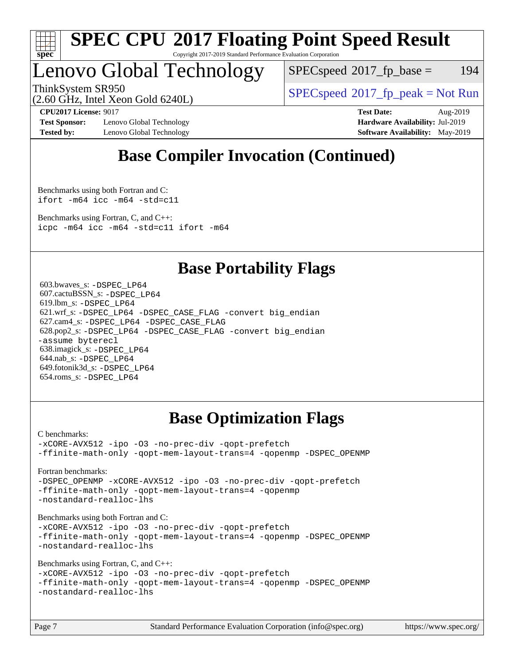

#### **[SPEC CPU](http://www.spec.org/auto/cpu2017/Docs/result-fields.html#SPECCPU2017FloatingPointSpeedResult)[2017 Floating Point Speed Result](http://www.spec.org/auto/cpu2017/Docs/result-fields.html#SPECCPU2017FloatingPointSpeedResult)** Copyright 2017-2019 Standard Performance Evaluation Corporation

## Lenovo Global Technology

 $SPEC speed^{\circ}2017\_fp\_base = 194$ 

ThinkSystem SR950<br>  $SPECspeed*2017_fp\_peak = Not Run$  $SPECspeed*2017_fp\_peak = Not Run$ 

(2.60 GHz, Intel Xeon Gold 6240L)

**[Test Sponsor:](http://www.spec.org/auto/cpu2017/Docs/result-fields.html#TestSponsor)** Lenovo Global Technology **[Hardware Availability:](http://www.spec.org/auto/cpu2017/Docs/result-fields.html#HardwareAvailability)** Jul-2019 **[Tested by:](http://www.spec.org/auto/cpu2017/Docs/result-fields.html#Testedby)** Lenovo Global Technology **[Software Availability:](http://www.spec.org/auto/cpu2017/Docs/result-fields.html#SoftwareAvailability)** May-2019

**[CPU2017 License:](http://www.spec.org/auto/cpu2017/Docs/result-fields.html#CPU2017License)** 9017 **[Test Date:](http://www.spec.org/auto/cpu2017/Docs/result-fields.html#TestDate)** Aug-2019

## **[Base Compiler Invocation \(Continued\)](http://www.spec.org/auto/cpu2017/Docs/result-fields.html#BaseCompilerInvocation)**

[Benchmarks using both Fortran and C](http://www.spec.org/auto/cpu2017/Docs/result-fields.html#BenchmarksusingbothFortranandC): [ifort -m64](http://www.spec.org/cpu2017/results/res2019q3/cpu2017-20190902-17550.flags.html#user_CC_FCbase_intel_ifort_64bit_24f2bb282fbaeffd6157abe4f878425411749daecae9a33200eee2bee2fe76f3b89351d69a8130dd5949958ce389cf37ff59a95e7a40d588e8d3a57e0c3fd751) [icc -m64 -std=c11](http://www.spec.org/cpu2017/results/res2019q3/cpu2017-20190902-17550.flags.html#user_CC_FCbase_intel_icc_64bit_c11_33ee0cdaae7deeeab2a9725423ba97205ce30f63b9926c2519791662299b76a0318f32ddfffdc46587804de3178b4f9328c46fa7c2b0cd779d7a61945c91cd35)

[Benchmarks using Fortran, C, and C++:](http://www.spec.org/auto/cpu2017/Docs/result-fields.html#BenchmarksusingFortranCandCXX) [icpc -m64](http://www.spec.org/cpu2017/results/res2019q3/cpu2017-20190902-17550.flags.html#user_CC_CXX_FCbase_intel_icpc_64bit_4ecb2543ae3f1412ef961e0650ca070fec7b7afdcd6ed48761b84423119d1bf6bdf5cad15b44d48e7256388bc77273b966e5eb805aefd121eb22e9299b2ec9d9) [icc -m64 -std=c11](http://www.spec.org/cpu2017/results/res2019q3/cpu2017-20190902-17550.flags.html#user_CC_CXX_FCbase_intel_icc_64bit_c11_33ee0cdaae7deeeab2a9725423ba97205ce30f63b9926c2519791662299b76a0318f32ddfffdc46587804de3178b4f9328c46fa7c2b0cd779d7a61945c91cd35) [ifort -m64](http://www.spec.org/cpu2017/results/res2019q3/cpu2017-20190902-17550.flags.html#user_CC_CXX_FCbase_intel_ifort_64bit_24f2bb282fbaeffd6157abe4f878425411749daecae9a33200eee2bee2fe76f3b89351d69a8130dd5949958ce389cf37ff59a95e7a40d588e8d3a57e0c3fd751)

## **[Base Portability Flags](http://www.spec.org/auto/cpu2017/Docs/result-fields.html#BasePortabilityFlags)**

 603.bwaves\_s: [-DSPEC\\_LP64](http://www.spec.org/cpu2017/results/res2019q3/cpu2017-20190902-17550.flags.html#suite_basePORTABILITY603_bwaves_s_DSPEC_LP64) 607.cactuBSSN\_s: [-DSPEC\\_LP64](http://www.spec.org/cpu2017/results/res2019q3/cpu2017-20190902-17550.flags.html#suite_basePORTABILITY607_cactuBSSN_s_DSPEC_LP64) 619.lbm\_s: [-DSPEC\\_LP64](http://www.spec.org/cpu2017/results/res2019q3/cpu2017-20190902-17550.flags.html#suite_basePORTABILITY619_lbm_s_DSPEC_LP64) 621.wrf\_s: [-DSPEC\\_LP64](http://www.spec.org/cpu2017/results/res2019q3/cpu2017-20190902-17550.flags.html#suite_basePORTABILITY621_wrf_s_DSPEC_LP64) [-DSPEC\\_CASE\\_FLAG](http://www.spec.org/cpu2017/results/res2019q3/cpu2017-20190902-17550.flags.html#b621.wrf_s_baseCPORTABILITY_DSPEC_CASE_FLAG) [-convert big\\_endian](http://www.spec.org/cpu2017/results/res2019q3/cpu2017-20190902-17550.flags.html#user_baseFPORTABILITY621_wrf_s_convert_big_endian_c3194028bc08c63ac5d04de18c48ce6d347e4e562e8892b8bdbdc0214820426deb8554edfa529a3fb25a586e65a3d812c835984020483e7e73212c4d31a38223) 627.cam4\_s: [-DSPEC\\_LP64](http://www.spec.org/cpu2017/results/res2019q3/cpu2017-20190902-17550.flags.html#suite_basePORTABILITY627_cam4_s_DSPEC_LP64) [-DSPEC\\_CASE\\_FLAG](http://www.spec.org/cpu2017/results/res2019q3/cpu2017-20190902-17550.flags.html#b627.cam4_s_baseCPORTABILITY_DSPEC_CASE_FLAG) 628.pop2\_s: [-DSPEC\\_LP64](http://www.spec.org/cpu2017/results/res2019q3/cpu2017-20190902-17550.flags.html#suite_basePORTABILITY628_pop2_s_DSPEC_LP64) [-DSPEC\\_CASE\\_FLAG](http://www.spec.org/cpu2017/results/res2019q3/cpu2017-20190902-17550.flags.html#b628.pop2_s_baseCPORTABILITY_DSPEC_CASE_FLAG) [-convert big\\_endian](http://www.spec.org/cpu2017/results/res2019q3/cpu2017-20190902-17550.flags.html#user_baseFPORTABILITY628_pop2_s_convert_big_endian_c3194028bc08c63ac5d04de18c48ce6d347e4e562e8892b8bdbdc0214820426deb8554edfa529a3fb25a586e65a3d812c835984020483e7e73212c4d31a38223) [-assume byterecl](http://www.spec.org/cpu2017/results/res2019q3/cpu2017-20190902-17550.flags.html#user_baseFPORTABILITY628_pop2_s_assume_byterecl_7e47d18b9513cf18525430bbf0f2177aa9bf368bc7a059c09b2c06a34b53bd3447c950d3f8d6c70e3faf3a05c8557d66a5798b567902e8849adc142926523472) 638.imagick\_s: [-DSPEC\\_LP64](http://www.spec.org/cpu2017/results/res2019q3/cpu2017-20190902-17550.flags.html#suite_basePORTABILITY638_imagick_s_DSPEC_LP64) 644.nab\_s: [-DSPEC\\_LP64](http://www.spec.org/cpu2017/results/res2019q3/cpu2017-20190902-17550.flags.html#suite_basePORTABILITY644_nab_s_DSPEC_LP64) 649.fotonik3d\_s: [-DSPEC\\_LP64](http://www.spec.org/cpu2017/results/res2019q3/cpu2017-20190902-17550.flags.html#suite_basePORTABILITY649_fotonik3d_s_DSPEC_LP64) 654.roms\_s: [-DSPEC\\_LP64](http://www.spec.org/cpu2017/results/res2019q3/cpu2017-20190902-17550.flags.html#suite_basePORTABILITY654_roms_s_DSPEC_LP64)

## **[Base Optimization Flags](http://www.spec.org/auto/cpu2017/Docs/result-fields.html#BaseOptimizationFlags)**

[C benchmarks](http://www.spec.org/auto/cpu2017/Docs/result-fields.html#Cbenchmarks):

[-xCORE-AVX512](http://www.spec.org/cpu2017/results/res2019q3/cpu2017-20190902-17550.flags.html#user_CCbase_f-xCORE-AVX512) [-ipo](http://www.spec.org/cpu2017/results/res2019q3/cpu2017-20190902-17550.flags.html#user_CCbase_f-ipo) [-O3](http://www.spec.org/cpu2017/results/res2019q3/cpu2017-20190902-17550.flags.html#user_CCbase_f-O3) [-no-prec-div](http://www.spec.org/cpu2017/results/res2019q3/cpu2017-20190902-17550.flags.html#user_CCbase_f-no-prec-div) [-qopt-prefetch](http://www.spec.org/cpu2017/results/res2019q3/cpu2017-20190902-17550.flags.html#user_CCbase_f-qopt-prefetch) [-ffinite-math-only](http://www.spec.org/cpu2017/results/res2019q3/cpu2017-20190902-17550.flags.html#user_CCbase_f_finite_math_only_cb91587bd2077682c4b38af759c288ed7c732db004271a9512da14a4f8007909a5f1427ecbf1a0fb78ff2a814402c6114ac565ca162485bbcae155b5e4258871) [-qopt-mem-layout-trans=4](http://www.spec.org/cpu2017/results/res2019q3/cpu2017-20190902-17550.flags.html#user_CCbase_f-qopt-mem-layout-trans_fa39e755916c150a61361b7846f310bcdf6f04e385ef281cadf3647acec3f0ae266d1a1d22d972a7087a248fd4e6ca390a3634700869573d231a252c784941a8) [-qopenmp](http://www.spec.org/cpu2017/results/res2019q3/cpu2017-20190902-17550.flags.html#user_CCbase_qopenmp_16be0c44f24f464004c6784a7acb94aca937f053568ce72f94b139a11c7c168634a55f6653758ddd83bcf7b8463e8028bb0b48b77bcddc6b78d5d95bb1df2967) [-DSPEC\\_OPENMP](http://www.spec.org/cpu2017/results/res2019q3/cpu2017-20190902-17550.flags.html#suite_CCbase_DSPEC_OPENMP)

[Fortran benchmarks](http://www.spec.org/auto/cpu2017/Docs/result-fields.html#Fortranbenchmarks):

[-DSPEC\\_OPENMP](http://www.spec.org/cpu2017/results/res2019q3/cpu2017-20190902-17550.flags.html#suite_FCbase_DSPEC_OPENMP) [-xCORE-AVX512](http://www.spec.org/cpu2017/results/res2019q3/cpu2017-20190902-17550.flags.html#user_FCbase_f-xCORE-AVX512) [-ipo](http://www.spec.org/cpu2017/results/res2019q3/cpu2017-20190902-17550.flags.html#user_FCbase_f-ipo) [-O3](http://www.spec.org/cpu2017/results/res2019q3/cpu2017-20190902-17550.flags.html#user_FCbase_f-O3) [-no-prec-div](http://www.spec.org/cpu2017/results/res2019q3/cpu2017-20190902-17550.flags.html#user_FCbase_f-no-prec-div) [-qopt-prefetch](http://www.spec.org/cpu2017/results/res2019q3/cpu2017-20190902-17550.flags.html#user_FCbase_f-qopt-prefetch) [-ffinite-math-only](http://www.spec.org/cpu2017/results/res2019q3/cpu2017-20190902-17550.flags.html#user_FCbase_f_finite_math_only_cb91587bd2077682c4b38af759c288ed7c732db004271a9512da14a4f8007909a5f1427ecbf1a0fb78ff2a814402c6114ac565ca162485bbcae155b5e4258871) [-qopt-mem-layout-trans=4](http://www.spec.org/cpu2017/results/res2019q3/cpu2017-20190902-17550.flags.html#user_FCbase_f-qopt-mem-layout-trans_fa39e755916c150a61361b7846f310bcdf6f04e385ef281cadf3647acec3f0ae266d1a1d22d972a7087a248fd4e6ca390a3634700869573d231a252c784941a8) [-qopenmp](http://www.spec.org/cpu2017/results/res2019q3/cpu2017-20190902-17550.flags.html#user_FCbase_qopenmp_16be0c44f24f464004c6784a7acb94aca937f053568ce72f94b139a11c7c168634a55f6653758ddd83bcf7b8463e8028bb0b48b77bcddc6b78d5d95bb1df2967) [-nostandard-realloc-lhs](http://www.spec.org/cpu2017/results/res2019q3/cpu2017-20190902-17550.flags.html#user_FCbase_f_2003_std_realloc_82b4557e90729c0f113870c07e44d33d6f5a304b4f63d4c15d2d0f1fab99f5daaed73bdb9275d9ae411527f28b936061aa8b9c8f2d63842963b95c9dd6426b8a)

[Benchmarks using both Fortran and C](http://www.spec.org/auto/cpu2017/Docs/result-fields.html#BenchmarksusingbothFortranandC):

[-xCORE-AVX512](http://www.spec.org/cpu2017/results/res2019q3/cpu2017-20190902-17550.flags.html#user_CC_FCbase_f-xCORE-AVX512) [-ipo](http://www.spec.org/cpu2017/results/res2019q3/cpu2017-20190902-17550.flags.html#user_CC_FCbase_f-ipo) [-O3](http://www.spec.org/cpu2017/results/res2019q3/cpu2017-20190902-17550.flags.html#user_CC_FCbase_f-O3) [-no-prec-div](http://www.spec.org/cpu2017/results/res2019q3/cpu2017-20190902-17550.flags.html#user_CC_FCbase_f-no-prec-div) [-qopt-prefetch](http://www.spec.org/cpu2017/results/res2019q3/cpu2017-20190902-17550.flags.html#user_CC_FCbase_f-qopt-prefetch) [-ffinite-math-only](http://www.spec.org/cpu2017/results/res2019q3/cpu2017-20190902-17550.flags.html#user_CC_FCbase_f_finite_math_only_cb91587bd2077682c4b38af759c288ed7c732db004271a9512da14a4f8007909a5f1427ecbf1a0fb78ff2a814402c6114ac565ca162485bbcae155b5e4258871) [-qopt-mem-layout-trans=4](http://www.spec.org/cpu2017/results/res2019q3/cpu2017-20190902-17550.flags.html#user_CC_FCbase_f-qopt-mem-layout-trans_fa39e755916c150a61361b7846f310bcdf6f04e385ef281cadf3647acec3f0ae266d1a1d22d972a7087a248fd4e6ca390a3634700869573d231a252c784941a8) [-qopenmp](http://www.spec.org/cpu2017/results/res2019q3/cpu2017-20190902-17550.flags.html#user_CC_FCbase_qopenmp_16be0c44f24f464004c6784a7acb94aca937f053568ce72f94b139a11c7c168634a55f6653758ddd83bcf7b8463e8028bb0b48b77bcddc6b78d5d95bb1df2967) [-DSPEC\\_OPENMP](http://www.spec.org/cpu2017/results/res2019q3/cpu2017-20190902-17550.flags.html#suite_CC_FCbase_DSPEC_OPENMP) [-nostandard-realloc-lhs](http://www.spec.org/cpu2017/results/res2019q3/cpu2017-20190902-17550.flags.html#user_CC_FCbase_f_2003_std_realloc_82b4557e90729c0f113870c07e44d33d6f5a304b4f63d4c15d2d0f1fab99f5daaed73bdb9275d9ae411527f28b936061aa8b9c8f2d63842963b95c9dd6426b8a)

[Benchmarks using Fortran, C, and C++:](http://www.spec.org/auto/cpu2017/Docs/result-fields.html#BenchmarksusingFortranCandCXX)

[-xCORE-AVX512](http://www.spec.org/cpu2017/results/res2019q3/cpu2017-20190902-17550.flags.html#user_CC_CXX_FCbase_f-xCORE-AVX512) [-ipo](http://www.spec.org/cpu2017/results/res2019q3/cpu2017-20190902-17550.flags.html#user_CC_CXX_FCbase_f-ipo) [-O3](http://www.spec.org/cpu2017/results/res2019q3/cpu2017-20190902-17550.flags.html#user_CC_CXX_FCbase_f-O3) [-no-prec-div](http://www.spec.org/cpu2017/results/res2019q3/cpu2017-20190902-17550.flags.html#user_CC_CXX_FCbase_f-no-prec-div) [-qopt-prefetch](http://www.spec.org/cpu2017/results/res2019q3/cpu2017-20190902-17550.flags.html#user_CC_CXX_FCbase_f-qopt-prefetch) [-ffinite-math-only](http://www.spec.org/cpu2017/results/res2019q3/cpu2017-20190902-17550.flags.html#user_CC_CXX_FCbase_f_finite_math_only_cb91587bd2077682c4b38af759c288ed7c732db004271a9512da14a4f8007909a5f1427ecbf1a0fb78ff2a814402c6114ac565ca162485bbcae155b5e4258871) [-qopt-mem-layout-trans=4](http://www.spec.org/cpu2017/results/res2019q3/cpu2017-20190902-17550.flags.html#user_CC_CXX_FCbase_f-qopt-mem-layout-trans_fa39e755916c150a61361b7846f310bcdf6f04e385ef281cadf3647acec3f0ae266d1a1d22d972a7087a248fd4e6ca390a3634700869573d231a252c784941a8) [-qopenmp](http://www.spec.org/cpu2017/results/res2019q3/cpu2017-20190902-17550.flags.html#user_CC_CXX_FCbase_qopenmp_16be0c44f24f464004c6784a7acb94aca937f053568ce72f94b139a11c7c168634a55f6653758ddd83bcf7b8463e8028bb0b48b77bcddc6b78d5d95bb1df2967) [-DSPEC\\_OPENMP](http://www.spec.org/cpu2017/results/res2019q3/cpu2017-20190902-17550.flags.html#suite_CC_CXX_FCbase_DSPEC_OPENMP) [-nostandard-realloc-lhs](http://www.spec.org/cpu2017/results/res2019q3/cpu2017-20190902-17550.flags.html#user_CC_CXX_FCbase_f_2003_std_realloc_82b4557e90729c0f113870c07e44d33d6f5a304b4f63d4c15d2d0f1fab99f5daaed73bdb9275d9ae411527f28b936061aa8b9c8f2d63842963b95c9dd6426b8a)